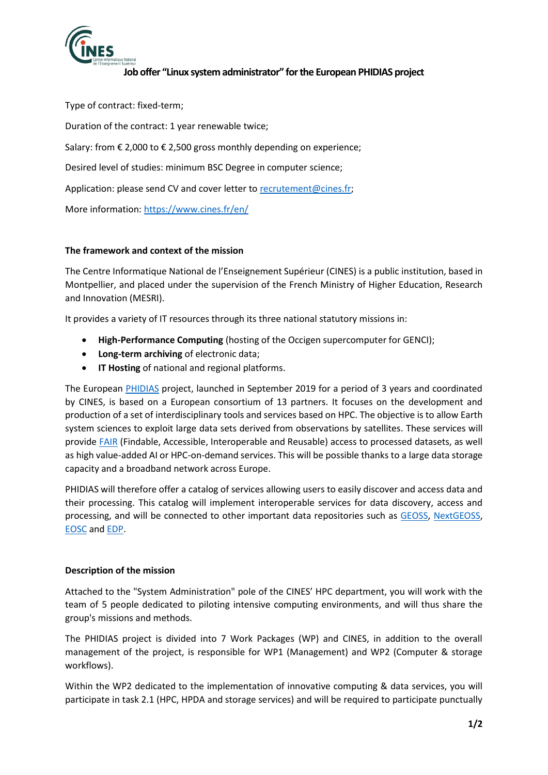

# **Job offer "Linux system administrator" for the European PHIDIAS project**

Type of contract: fixed-term; Duration of the contract: 1 year renewable twice; Salary: from € 2,000 to € 2,500 gross monthly depending on experience; Desired level of studies: minimum BSC Degree in computer science; Application: please send CV and cover letter to [recrutement@cines.fr;](mailto:recrutement@cines.fr) More information:<https://www.cines.fr/en/>

# **The framework and context of the mission**

The Centre Informatique National de l'Enseignement Supérieur (CINES) is a public institution, based in Montpellier, and placed under the supervision of the French Ministry of Higher Education, Research and Innovation (MESRI).

It provides a variety of IT resources through its three national statutory missions in:

- **High-Performance Computing** (hosting of the Occigen supercomputer for GENCI);
- **Long-term archiving** of electronic data;
- **IT Hosting** of national and regional platforms.

The European [PHIDIAS](https://www.phidias-hpc.eu/) project, launched in September 2019 for a period of 3 years and coordinated by CINES, is based on a European consortium of 13 partners. It focuses on the development and production of a set of interdisciplinary tools and services based on HPC. The objective is to allow Earth system sciences to exploit large data sets derived from observations by satellites. These services will provid[e FAIR](https://www.go-fair.org/fair-principles/) (Findable, Accessible, Interoperable and Reusable) access to processed datasets, as well as high value-added AI or HPC-on-demand services. This will be possible thanks to a large data storage capacity and a broadband network across Europe.

PHIDIAS will therefore offer a catalog of services allowing users to easily discover and access data and their processing. This catalog will implement interoperable services for data discovery, access and processing, and will be connected to other important data repositories such as [GEOSS,](https://www.geoportal.org/) [NextGEOSS,](https://www.nextgeoss.eu/) [EOSC](https://www.eosc-portal.eu/) and [EDP.](https://www.europeandataportal.eu/)

## **Description of the mission**

Attached to the "System Administration" pole of the CINES' HPC department, you will work with the team of 5 people dedicated to piloting intensive computing environments, and will thus share the group's missions and methods.

The PHIDIAS project is divided into 7 Work Packages (WP) and CINES, in addition to the overall management of the project, is responsible for WP1 (Management) and WP2 (Computer & storage workflows).

Within the WP2 dedicated to the implementation of innovative computing & data services, you will participate in task 2.1 (HPC, HPDA and storage services) and will be required to participate punctually